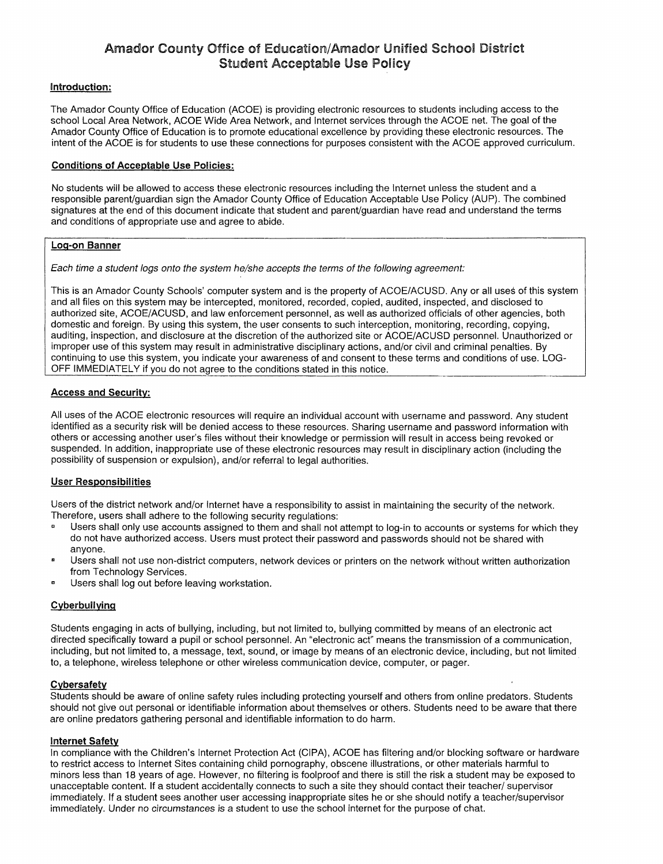# Amador County Office of Education/Amador Unified School District Student Acceptable Use Policy

## Introduction:

The Amador County Office of Education (ACOE) is providing electronic resources to students including access to the school Local Area Network, ACOE Wide Area Network, and Internet services through the ACOE net. The goal of the Amador County Office of Education is to promote educational excellence by providing these electronic resources. The intent of the ACOE is tor students to use these connections for purposes consistent with the ACOE approved curriculum.

## Conditions of Acceptable Use Policies:

No students will be allowed to access these electronic resources including the Internet unless the student and a responsible parent/guardian sign the Amador County Office of Education Acceptable Use Policy (AUP). The combined signatures at the end of this document indicate that student and parent/guardian have read and understand the terms and conditions of appropriate use and agree to abide.

### Log-on Banner

Each time a student logs onto the system he/she accepts the terms of the following agreement:

This is an Amador County Schools' computer system and is the property of ACOE/ACUSD. Any or all uses of this system and all files on this system may be intercepted, monitored, recorded, copied, audited, inspected, and disclosed to authorized site, ACOE/ACUSD, and law enforcement personnel, as well as authorized officials of other agencies, both domestic and foreign. By using this system, the user consents to such interception, monitoring, recording, copying, auditing, inspection, and disclosure at the discretion of the authorized site or ACOE/ACUSD personnel. Unauthorized or improper use of this system may result in administrative disciplinary actions, and/or civil and criminal penalties. By continuing to use this system, you indicate your awareness of and consent to these terms and conditions of use. LOG-OFF IMMEDIATELY if you do not agree to the conditions stated in this notice.

# Access and Security:

All uses of the ACOE electronic resources will require an individual account with username and password. Any student identified as a security risk will be denied access to these resources. Sharing username and password information with others or accessing another user's files without their knowledge or permission will result in access being revoked or suspended. In addition, inappropriate use of these electronic resources may result in disciplinary action (including the possibility of suspension or expulsion), and/or referral to legal authorities.

#### User Responsibilities

Users of the district network and/or Internet have a responsibility to assist in maintaining the security of the network. Therefore, users shall adhere to the following security regulations:

- Users shall only use accounts assigned to them and shall not attempt to log-in to accounts or systems for which they do not have authorized access. Users must protect their password and passwords should not be shared with anyone.
- Users shall not use non-district computers, network devices or printers on the network without written authorization from Technology Services.
- Users shall log out before leaving workstation.

# **Cyberbullying**

Students engaging in acts of bullying, including, but not limited to, bullying committed by means of an electronic act directed specifically toward a pupil or school personnel. An "electronic act" means the transmission of a communication, including, but not limited to, a message, text, sound, or image by means of an electronic device, including, but not limited to, a telephone, wireless telephone or other wireless communication device, computer, or pager.

#### **Cybersafety**

Students should be aware of online safety rules including protecting yourself and others from online predators. Students should not give out personal or identifiable information about themselves or others. Students need to be aware that there are online predators gathering personal and identifiable information to do harm.

#### Internet Safety

In compliance with the Children's Internet Protection Act (CIPA), ACOE has filtering and/or blocking software or hardware to restrict access to Internet Sites containing child pornography, obscene illustrations, or other materials harmful to minors less than 18 years of age. However, no filtering is foolproof and there is still the risk a student may be exposed to unacceptable content. If a student accidentally connects to such a site they should contact their teacher/ supervisor immediately. If a student sees another user accessing inappropriate sites he or she should notify a teacher/supervisor immediately. Under no circumstances is a student to use the school internet for the purpose of chat.